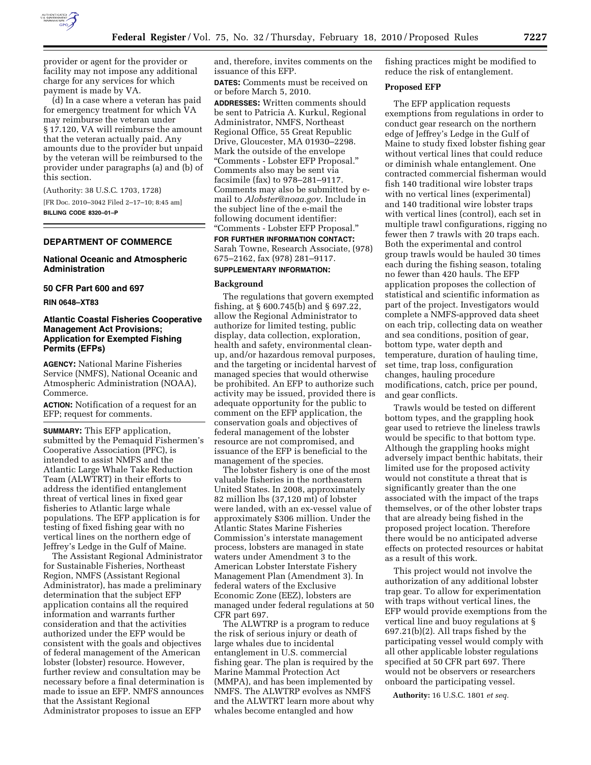

provider or agent for the provider or facility may not impose any additional charge for any services for which payment is made by VA.

(d) In a case where a veteran has paid for emergency treatment for which VA may reimburse the veteran under § 17.120, VA will reimburse the amount that the veteran actually paid. Any amounts due to the provider but unpaid by the veteran will be reimbursed to the provider under paragraphs (a) and (b) of this section.

(Authority: 38 U.S.C. 1703, 1728)

[FR Doc. 2010–3042 Filed 2–17–10; 8:45 am] **BILLING CODE 8320–01–P** 

#### **DEPARTMENT OF COMMERCE**

## **National Oceanic and Atmospheric Administration**

**50 CFR Part 600 and 697** 

**RIN 0648–XT83** 

## **Atlantic Coastal Fisheries Cooperative Management Act Provisions; Application for Exempted Fishing Permits (EFPs)**

**AGENCY:** National Marine Fisheries Service (NMFS), National Oceanic and Atmospheric Administration (NOAA), Commerce.

**ACTION:** Notification of a request for an EFP; request for comments.

**SUMMARY:** This EFP application, submitted by the Pemaquid Fishermen's Cooperative Association (PFC), is intended to assist NMFS and the Atlantic Large Whale Take Reduction Team (ALWTRT) in their efforts to address the identified entanglement threat of vertical lines in fixed gear fisheries to Atlantic large whale populations. The EFP application is for testing of fixed fishing gear with no vertical lines on the northern edge of Jeffrey's Ledge in the Gulf of Maine.

The Assistant Regional Administrator for Sustainable Fisheries, Northeast Region, NMFS (Assistant Regional Administrator), has made a preliminary determination that the subject EFP application contains all the required information and warrants further consideration and that the activities authorized under the EFP would be consistent with the goals and objectives of federal management of the American lobster (lobster) resource. However, further review and consultation may be necessary before a final determination is made to issue an EFP. NMFS announces that the Assistant Regional Administrator proposes to issue an EFP

and, therefore, invites comments on the issuance of this EFP.

**DATES:** Comments must be received on or before March 5, 2010.

**ADDRESSES:** Written comments should be sent to Patricia A. Kurkul, Regional Administrator, NMFS, Northeast Regional Office, 55 Great Republic Drive, Gloucester, MA 01930–2298. Mark the outside of the envelope ''Comments - Lobster EFP Proposal.'' Comments also may be sent via facsimile (fax) to 978–281–9117. Comments may also be submitted by email to *Alobster@noaa.gov*. Include in the subject line of the e-mail the following document identifier: ''Comments - Lobster EFP Proposal.'' **FOR FURTHER INFORMATION CONTACT:** 

Sarah Towne, Research Associate, (978) 675–2162, fax (978) 281–9117.

## **SUPPLEMENTARY INFORMATION:**

#### **Background**

The regulations that govern exempted fishing, at § 600.745(b) and § 697.22, allow the Regional Administrator to authorize for limited testing, public display, data collection, exploration, health and safety, environmental cleanup, and/or hazardous removal purposes, and the targeting or incidental harvest of managed species that would otherwise be prohibited. An EFP to authorize such activity may be issued, provided there is adequate opportunity for the public to comment on the EFP application, the conservation goals and objectives of federal management of the lobster resource are not compromised, and issuance of the EFP is beneficial to the management of the species.

The lobster fishery is one of the most valuable fisheries in the northeastern United States. In 2008, approximately 82 million lbs (37,120 mt) of lobster were landed, with an ex-vessel value of approximately \$306 million. Under the Atlantic States Marine Fisheries Commission's interstate management process, lobsters are managed in state waters under Amendment 3 to the American Lobster Interstate Fishery Management Plan (Amendment 3). In federal waters of the Exclusive Economic Zone (EEZ), lobsters are managed under federal regulations at 50 CFR part 697.

The ALWTRP is a program to reduce the risk of serious injury or death of large whales due to incidental entanglement in U.S. commercial fishing gear. The plan is required by the Marine Mammal Protection Act (MMPA), and has been implemented by NMFS. The ALWTRP evolves as NMFS and the ALWTRT learn more about why whales become entangled and how

fishing practices might be modified to reduce the risk of entanglement.

#### **Proposed EFP**

The EFP application requests exemptions from regulations in order to conduct gear research on the northern edge of Jeffrey's Ledge in the Gulf of Maine to study fixed lobster fishing gear without vertical lines that could reduce or diminish whale entanglement. One contracted commercial fisherman would fish 140 traditional wire lobster traps with no vertical lines (experimental) and 140 traditional wire lobster traps with vertical lines (control), each set in multiple trawl configurations, rigging no fewer then 7 trawls with 20 traps each. Both the experimental and control group trawls would be hauled 30 times each during the fishing season, totaling no fewer than 420 hauls. The EFP application proposes the collection of statistical and scientific information as part of the project. Investigators would complete a NMFS-approved data sheet on each trip, collecting data on weather and sea conditions, position of gear, bottom type, water depth and temperature, duration of hauling time, set time, trap loss, configuration changes, hauling procedure modifications, catch, price per pound, and gear conflicts.

Trawls would be tested on different bottom types, and the grappling hook gear used to retrieve the lineless trawls would be specific to that bottom type. Although the grappling hooks might adversely impact benthic habitats, their limited use for the proposed activity would not constitute a threat that is significantly greater than the one associated with the impact of the traps themselves, or of the other lobster traps that are already being fished in the proposed project location. Therefore there would be no anticipated adverse effects on protected resources or habitat as a result of this work.

This project would not involve the authorization of any additional lobster trap gear. To allow for experimentation with traps without vertical lines, the EFP would provide exemptions from the vertical line and buoy regulations at § 697.21(b)(2). All traps fished by the participating vessel would comply with all other applicable lobster regulations specified at 50 CFR part 697. There would not be observers or researchers onboard the participating vessel.

**Authority:** 16 U.S.C. 1801 *et seq.*